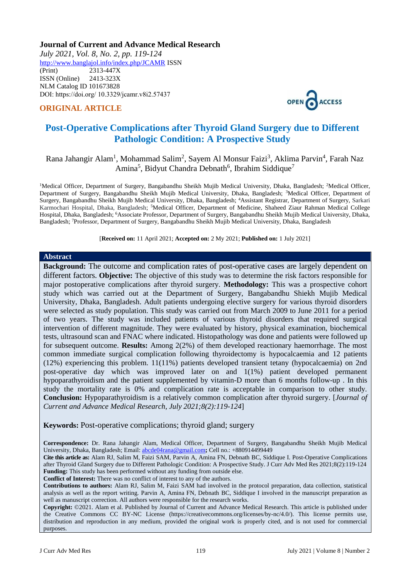# **Journal of Current and Advance Medical Research**

*July 2021, Vol. 8, No. 2, pp. 119-124* <http://www.banglajol.info/index.php/JCAMR>ISSN (Print) 2313-447X ISSN (Online) 2413-323X [NLM Catalog](https://www.ncbi.nlm.nih.gov/nlmcatalog/101673828) ID 101673828 DOI: https://doi.org/ 10.3329/jcamr.v8i2.57437

# **ORIGINAL ARTICLE**



# **Post-Operative Complications after Thyroid Gland Surgery due to Different Pathologic Condition: A Prospective Study**

# Rana Jahangir Alam<sup>1</sup>, Mohammad Salim<sup>2</sup>, Sayem Al Monsur Faizi<sup>3</sup>, Aklima Parvin<sup>4</sup>, Farah Naz Amina<sup>5</sup>, Bidyut Chandra Debnath<sup>6</sup>, Ibrahim Siddique<sup>7</sup>

<sup>1</sup>Medical Officer, Department of Surgery, Bangabandhu Sheikh Mujib Medical University, Dhaka, Bangladesh; <sup>2</sup>Medical Officer, Department of Surgery, Bangabandhu Sheikh Mujib Medical University, Dhaka, Bangladesh; <sup>3</sup>Medical Officer, Department of Surgery, Bangabandhu Sheikh Mujib Medical University, Dhaka, Bangladesh; <sup>4</sup>Assistant Registrar, Department of Surgery, Sarkari Karmochari Hospital, Dhaka, Bangladesh; <sup>5</sup>Medical Officer, Department of Medicine, Shaheed Ziaur Rahman Medical College Hospital, Dhaka, Bangladesh; <sup>6</sup>Associate Professor, Department of Surgery, Bangabandhu Sheikh Mujib Medical University, Dhaka, Bangladesh; <sup>7</sup>Professor, Department of Surgery, Bangabandhu Sheikh Mujib Medical University, Dhaka, Bangladesh

[**Received on:** 11 April 2021; **Accepted on:** 2 My 2021; **Published on:** 1 July 2021]

#### **Abstract**

**Background:** The outcome and complication rates of post-operative cases are largely dependent on different factors. **Objective:** The objective of this study was to determine the risk factors responsible for major postoperative complications after thyroid surgery. **Methodology:** This was a prospective cohort study which was carried out at the Department of Surgery, Bangabandhu Shiekh Mujib Medical University, Dhaka, Bangladesh. Adult patients undergoing elective surgery for various thyroid disorders were selected as study population. This study was carried out from March 2009 to June 2011 for a period of two years. The study was included patients of various thyroid disorders that required surgical intervention of different magnitude. They were evaluated by history, physical examination, biochemical tests, ultrasound scan and FNAC where indicated. Histopathology was done and patients were followed up for subsequent outcome. **Results:** Among 2(2%) of them developed reactionary haemorrhage. The most common immediate surgical complication following thyroidectomy is hypocalcaemia and 12 patients (12%) experiencing this problem. 11(11%) patients developed transient tetany (hypocalcaemia) on 2nd post-operative day which was improved later on and 1(1%) patient developed permanent hypoparathyroidism and the patient supplemented by vitamin-D more than 6 months follow-up . In this study the mortality rate is 0% and complication rate is acceptable in comparison to other study. **Conclusion:** Hypoparathyroidism is a relatively common complication after thyroid surgery. [*Journal of Current and Advance Medical Research, July 2021;8(2):119-124*]

#### **Keywords:** Post-operative complications; thyroid gland; surgery

**Correspondence:** Dr. Rana Jahangir Alam, Medical Officer, Department of Surgery, Bangabandhu Sheikh Mujib Medical University, Dhaka, Bangladesh; Email[: abcde04rana@gmail.com](mailto:abcde04rana@gmail.com)**;** Cell no.: +880914499449

**Cite this article as:** Alam RJ, Salim M, Faizi SAM, Parvin A, Amina FN, Debnath BC, Siddique I. Post-Operative Complications after Thyroid Gland Surgery due to Different Pathologic Condition: A Prospective Study. J Curr Adv Med Res 2021;8(2):119-124 **Funding:** This study has been performed without any funding from outside else.

**Conflict of Interest:** There was no conflict of interest to any of the authors.

**Contributions to authors:** Alam RJ, Salim M, Faizi SAM had involved in the protocol preparation, data collection, statistical analysis as well as the report writing. Parvin A, Amina FN, Debnath BC, Siddique I involved in the manuscript preparation as well as manuscript correction. All authors were responsible for the research works.

**Copyright:** ©2021. Alam et al. Published by Journal of Current and Advance Medical Research. This article is published under the Creative Commons CC BY-NC License (https://creativecommons.org/licenses/by-nc/4.0/). This license permits use, distribution and reproduction in any medium, provided the original work is properly cited, and is not used for commercial purposes.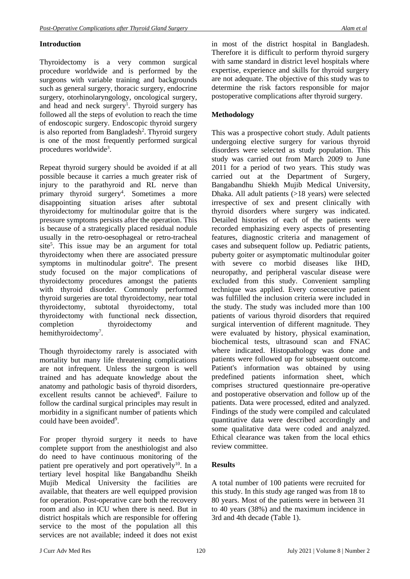# **Introduction**

Thyroidectomy is a very common surgical procedure worldwide and is performed by the surgeons with variable training and backgrounds such as general surgery, thoracic surgery, endocrine surgery, otorhinolaryngology, oncological surgery, and head and neck surgery<sup>1</sup>. Thyroid surgery has followed all the steps of evolution to reach the time of endoscopic surgery. Endoscopic thyroid surgery is also reported from Bangladesh<sup>2</sup>. Thyroid surgery is one of the most frequently performed surgical procedures worldwide<sup>3</sup>.

Repeat thyroid surgery should be avoided if at all possible because it carries a much greater risk of injury to the parathyroid and RL nerve than primary thyroid surgery<sup>4</sup>. Sometimes a more disappointing situation arises after subtotal thyroidectomy for multinodular goitre that is the pressure symptoms persists after the operation. This is because of a strategically placed residual nodule usually in the retro-oesophageal or retro-tracheal site<sup>5</sup>. This issue may be an argument for total thyroidectomy when there are associated pressure symptoms in multinodular goitre<sup>6</sup>. The present study focused on the major complications of thyroidectomy procedures amongst the patients with thyroid disorder. Commonly performed thyroid surgeries are total thyroidectomy, near total thyroidectomy, subtotal thyroidectomy, total thyroidectomy with functional neck dissection, completion thyroidectomy and hemithyroidectomy<sup>7</sup>.

Though thyroidectomy rarely is associated with mortality but many life threatening complications are not infrequent. Unless the surgeon is well trained and has adequate knowledge about the anatomy and pathologic basis of thyroid disorders, excellent results cannot be achieved<sup>8</sup>. Failure to follow the cardinal surgical principles may result in morbidity in a significant number of patients which could have been avoided<sup>9</sup>.

For proper thyroid surgery it needs to have complete support from the anesthiologist and also do need to have continuous monitoring of the patient pre operatively and port operatively<sup>10</sup>. In a tertiary level hospital like Bangabandhu Sheikh Mujib Medical University the facilities are available, that theaters are well equipped provision for operation. Post-operative care both the recovery room and also in ICU when there is need. But in district hospitals which are responsible for offering service to the most of the population all this services are not available; indeed it does not exist

in most of the district hospital in Bangladesh. Therefore it is difficult to perform thyroid surgery with same standard in district level hospitals where expertise, experience and skills for thyroid surgery are not adequate. The objective of this study was to determine the risk factors responsible for major postoperative complications after thyroid surgery.

# **Methodology**

This was a prospective cohort study. Adult patients undergoing elective surgery for various thyroid disorders were selected as study population. This study was carried out from March 2009 to June 2011 for a period of two years. This study was carried out at the Department of Surgery, Bangabandhu Shiekh Mujib Medical University, Dhaka. All adult patients (>18 years) were selected irrespective of sex and present clinically with thyroid disorders where surgery was indicated. Detailed histories of each of the patients were recorded emphasizing every aspects of presenting features, diagnostic criteria and management of cases and subsequent follow up. Pediatric patients, puberty goiter or asymptomatic multinodular goiter with severe co morbid diseases like IHD, neuropathy, and peripheral vascular disease were excluded from this study. Convenient sampling technique was applied. Every consecutive patient was fulfilled the inclusion criteria were included in the study. The study was included more than 100 patients of various thyroid disorders that required surgical intervention of different magnitude. They were evaluated by history, physical examination, biochemical tests, ultrasound scan and FNAC where indicated. Histopathology was done and patients were followed up for subsequent outcome. Patient's information was obtained by using predefined patients information sheet, which comprises structured questionnaire pre-operative and postoperative observation and follow up of the patients. Data were processed, edited and analyzed. Findings of the study were compiled and calculated quantitative data were described accordingly and some qualitative data were coded and analyzed. Ethical clearance was taken from the local ethics review committee.

# **Results**

A total number of 100 patients were recruited for this study. In this study age ranged was from 18 to 80 years. Most of the patients were in between 31 to 40 years (38%) and the maximum incidence in 3rd and 4th decade (Table 1).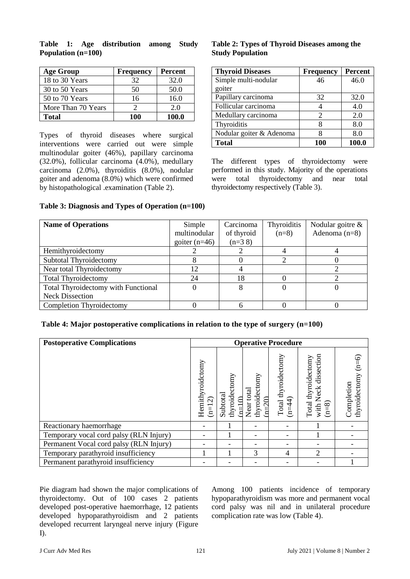| <b>Age Group</b>   | <b>Frequency</b> | <b>Percent</b> |
|--------------------|------------------|----------------|
| 18 to 30 Years     | 32               | 32.0           |
| 30 to 50 Years     | 50               | 50.0           |
| 50 to 70 Years     | 16               | 16.0           |
| More Than 70 Years |                  | 2.0            |
| <b>Total</b>       | 100              | 100.0          |

**Table 1: Age distribution among Study Population (n=100)**

Types of thyroid diseases where surgical interventions were carried out were simple multinodular goiter (46%), papillary carcinoma (32.0%), follicular carcinoma (4.0%), medullary carcinoma (2.0%), thyroiditis (8.0%), nodular goiter and adenoma (8.0%) which were confirmed by histopathological .examination (Table 2).

# **Table 2: Types of Thyroid Diseases among the Study Population**

| <b>Thyroid Diseases</b>  | <b>Frequency</b> | <b>Percent</b> |  |
|--------------------------|------------------|----------------|--|
| Simple multi-nodular     | 46               | 46.0           |  |
| goiter                   |                  |                |  |
| Papillary carcinoma      | 32               | 32.0           |  |
| Follicular carcinoma     |                  | 4.0            |  |
| Medullary carcinoma      | 2                | 2.0            |  |
| Thyroiditis              | 8                | 8.0            |  |
| Nodular goiter & Adenoma | 8                | 8.0            |  |
| <b>Total</b>             | 100              | 100.0          |  |

The different types of thyroidectomy were performed in this study. Majority of the operations were total thyroidectomy and near total thyroidectomy respectively (Table 3).

| <b>Name of Operations</b>                  | Simple          | Carcinoma  | Thyroiditis | Nodular goitre $\&$ |  |
|--------------------------------------------|-----------------|------------|-------------|---------------------|--|
|                                            | multinodular    | of thyroid | $(n=8)$     | Adenoma $(n=8)$     |  |
|                                            | goiter $(n=46)$ | $(n=38)$   |             |                     |  |
| Hemithyroidectomy                          |                 |            |             |                     |  |
| Subtotal Thyroidectomy                     |                 |            |             |                     |  |
| Near total Thyroidectomy                   | 12              |            |             |                     |  |
| <b>Total Thyroidectomy</b>                 | 24              | 18         |             |                     |  |
| <b>Total Thyroidectomy with Functional</b> |                 |            |             |                     |  |
| <b>Neck Dissection</b>                     |                 |            |             |                     |  |
| <b>Completion Thyroidectomy</b>            |                 |            |             |                     |  |

| <b>Postoperative Complications</b>      | <b>Operative Procedure</b>   |                                          |                                                           |                                 |                                                           |                                        |
|-----------------------------------------|------------------------------|------------------------------------------|-----------------------------------------------------------|---------------------------------|-----------------------------------------------------------|----------------------------------------|
|                                         | Hemithyroidctomy<br>$(n=12)$ | thyroidectomy<br>Subtotal<br>$\tilde{a}$ | thyroidectomy<br>total<br>$-20$<br>Near <sub>1</sub><br>⋰ | Total thyroidectomy<br>$(n=44)$ | dissection<br>Total thyroidectomy<br>with Neck<br>$(n=8)$ | $(n=6)$<br>thyroidectomy<br>Completion |
| Reactionary haemorrhage                 |                              |                                          |                                                           |                                 |                                                           |                                        |
| Temporary vocal cord palsy (RLN Injury) |                              |                                          |                                                           |                                 |                                                           |                                        |
| Permanent Vocal cord palsy (RLN Injury) |                              |                                          |                                                           |                                 |                                                           |                                        |
| Temporary parathyroid insufficiency     |                              |                                          | 3                                                         | 4                               | 2                                                         |                                        |
| Permanent parathyroid insufficiency     |                              |                                          |                                                           |                                 |                                                           |                                        |

Pie diagram had shown the major complications of thyroidectomy. Out of 100 cases 2 patients developed post-operative haemorrhage, 12 patients developed hypoparathyroidism and 2 patients developed recurrent laryngeal nerve injury (Figure  $D<sub>1</sub>$ 

Among 100 patients incidence of temporary hypoparathyroidism was more and permanent vocal cord palsy was nil and in unilateral procedure complication rate was low (Table 4).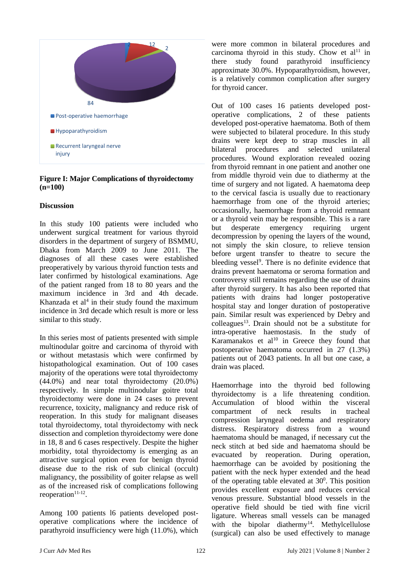

#### **Figure I: Major Complications of thyroidectomy (n=100)**

#### **Discussion**

In this study 100 patients were included who underwent surgical treatment for various thyroid disorders in the department of surgery of BSMMU, Dhaka from March 2009 to June 2011. The diagnoses of all these cases were established preoperatively by various thyroid function tests and later confirmed by histological examinations. Age of the patient ranged from 18 to 80 years and the maximum incidence in 3rd and 4th decade. Khanzada et  $al<sup>4</sup>$  in their study found the maximum incidence in 3rd decade which result is more or less similar to this study.

In this series most of patients presented with simple multinodular goitre and carcinoma of thyroid with or without metastasis which were confirmed by histopathological examination. Out of 100 cases majority of the operations were total thyroidectomy (44.0%) and near total thyroidectomy (20.0%) respectively. In simple multinodular goitre total thyroidectomy were done in 24 cases to prevent recurrence, toxicity, malignancy and reduce risk of reoperation. In this study for malignant diseases total thyroidectomy, total thyroidectomy with neck dissection and completion thyroidectomy were done in 18, 8 and 6 cases respectively. Despite the higher morbidity, total thyroidectomy is emerging as an attractive surgical option even for benign thyroid disease due to the risk of sub clinical (occult) malignancy, the possibility of goiter relapse as well as of the increased risk of complications following reoperation $11-12$ .

Among 100 patients l6 patients developed postoperative complications where the incidence of parathyroid insufficiency were high (11.0%), which

were more common in bilateral procedures and carcinoma thyroid in this study. Chow et  $al<sup>11</sup>$  in there study found parathyroid insufficiency approximate 30.0%. Hypoparathyroidism, however, is a relatively common complication after surgery for thyroid cancer.

Out of 100 cases 16 patients developed postoperative complications, 2 of these patients developed post-operative haematoma. Both of them were subjected to bilateral procedure. In this study drains were kept deep to strap muscles in all bilateral procedures and selected unilateral procedures. Wound exploration revealed oozing from thyroid remnant in one patient and another one from middle thyroid vein due to diathermy at the time of surgery and not ligated. A haematoma deep to the cervical fascia is usually due to reactionary haemorrhage from one of the thyroid arteries; occasionally, haemorrhage from a thyroid remnant or a thyroid vein may be responsible. This is a rare but desperate emergency requiring urgent decompression by opening the layers of the wound, not simply the skin closure, to relieve tension before urgent transfer to theatre to secure the bleeding vessel<sup>9</sup>. There is no definite evidence that drains prevent haematoma or seroma formation and controversy still remains regarding the use of drains after thyroid surgery. It has also been reported that patients with drains had longer postoperative hospital stay and longer duration of postoperative pain. Similar result was experienced by Debry and  $colleagues<sup>13</sup>$ . Drain should not be a substitute for intra-operative haemostasis. In the study of Karamanakos et al $10$  in Greece they found that postoperative haematoma occurred in 27 (1.3%) patients out of 2043 patients. In all but one case, a drain was placed.

Haemorrhage into the thyroid bed following thyroidectomy is a life threatening condition. Accumulation of blood within the visceral compartment of neck results in tracheal compression laryngeal oedema and respiratory distress. Respiratory distress from a wound haematoma should be managed, if necessary cut the neck stitch at bed side and haematoma should be evacuated by reoperation. During operation, haemorrhage can be avoided by positioning the patient with the neck hyper extended and the head of the operating table elevated at  $30^\circ$ . This position provides excellent exposure and reduces cervical venous pressure. Substantial blood vessels in the operative field should be tied with fine vicril ligature. Whereas small vessels can be managed with the bipolar diathermy<sup>14</sup>. Methylcellulose (surgical) can also be used effectively to manage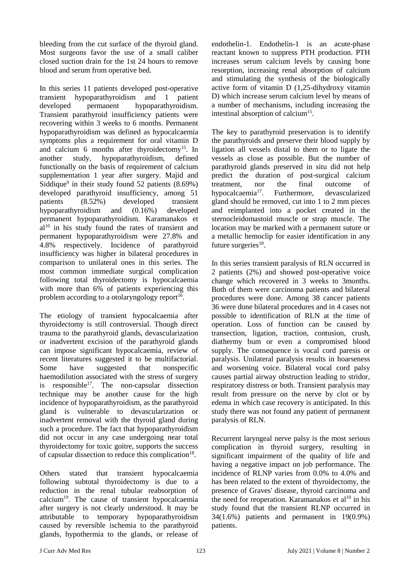bleeding from the cut surface of the thyroid gland. Most surgeons favor the use of a small caliber closed suction drain for the 1st 24 hours to remove blood and serum from operative bed.

In this series 11 patients developed post-operative transient hypoparathyroidism and 1 patient developed permanent hypoparathyroidism. Transient parathyroid insufficiency patients were recovering within 3 weeks to 6 months. Permanent hypoparathyroidism was defined as hypocalcaemia symptoms plus a requirement for oral vitamin D and calcium 6 months after thyroidectomy<sup>15</sup>. In another study, hypoparathyroidism, defined functionally on the basis of requirement of calcium supplementation 1 year after surgery. Majid and Siddique<sup>9</sup> in their study found 52 patients (8.69%) developed parathyroid insufficiency, among 51 patients (8.52%) developed transient hypoparathyroidism and (0.16%) developed permanent hypoparathyroidism. Karamanakos et  $al<sup>10</sup>$  in his study found the rates of transient and permanent hypoparathyroidism were 27.8% and 4.8% respectively. Incidence of parathyroid insufficiency was higher in bilateral procedures in comparison to unilateral ones in this series. The most common immediate surgical complication following total thyroidectomy is hypocalcaemia with more than 6% of patients experiencing this problem according to a otolaryngology report<sup>16</sup>.

The etiology of transient hypocalcaemia after thyroidectomy is still controversial. Though direct trauma to the parathyroid glands, devascularization or inadvertent excision of the parathyroid glands can impose significant hypocalcaemia, review of recent literatures suggested it to be multifactorial. Some have suggested that nonspecific haemodilution associated with the stress of surgery is responsible<sup>17</sup>. The non-capsular dissection technique may be another cause for the high incidence of hypoparathyroidism, as the parathyroid gland is vulnerable to devascularization or inadvertent removal with the thyroid gland during such a procedure. The fact that hypoparathyroidism did not occur in any case undergoing near total thyroidectomy for toxic goitre, supports the success of capsular dissection to reduce this complication<sup>18</sup>.

Others stated that transient hypocalcaemia following subtotal thyroidectomy is due to a reduction in the renal tubular reabsorption of calcium<sup>19</sup>. The cause of transient hypocalcaemia after surgery is not clearly understood. It may be attributable to temporary hypoparathyroidism caused by reversible ischemia to the parathyroid glands, hypothermia to the glands, or release of

endothelin-1. Endothelin-1 is an acute-phase reactant known to suppress PTH production. PTH increases serum calcium levels by causing bone resorption, increasing renal absorption of calcium and stimulating the synthesis of the biologically active form of vitamin D (1,25-dihydroxy vitamin D) which increase serum calcium level by means of a number of mechanisms, including increasing the intestinal absorption of calcium<sup>15</sup>.

The key to parathyroid preservation is to identify the parathyroids and preserve their blood supply by ligation all vessels distal to them or to ligate the vessels as close as possible. But the number of parathyroid glands preserved in situ did not help predict the duration of post-surgical calcium treatment, nor the final outcome of hypocalcaemia<sup>17</sup>. . Furthermore, devascularized gland should be removed, cut into 1 to 2 mm pieces and reimplanted into a pocket created in the sternocleidomastoid muscle or strap muscle. The location may be marked with a permanent suture or a metallic hemoclip for easier identification in any future surgeries<sup>18</sup>.

In this series transient paralysis of RLN occurred in 2 patients (2%) and showed post-operative voice change which recovered in 3 weeks to 3months. Both of them were carcinoma patients and bilateral procedures were done. Among 38 cancer patients 36 were done bilateral procedures and in 4 cases not possible to identification of RLN at the time of operation. Loss of function can be caused by transection, ligation, traction, contusion, crush, diathermy bum or even a compromised blood supply. The consequence is vocal cord paresis or paralysis. Unilateral paralysis results in hoarseness and worsening voice. Bilateral vocal cord palsy causes partial airway obstruction leading to stridor, respiratory distress or both. Transient paralysis may result from pressure on the nerve by clot or by edema in which case recovery is anticipated. In this study there was not found any patient of permanent paralysis of RLN.

Recurrent laryngeal nerve palsy is the most serious complication in thyroid surgery, resulting in significant impairment of the quality of life and having a negative impact on job performance. The incidence of RLNP varies from 0.0% to 4.0% and has been related to the extent of thyroidectomy, the presence of Graves' disease, thyroid carcinoma and the need for reoperation. Karamanakos et al $10$  in his study found that the transient RLNP occurred in 34(1.6%) patients and permanent in 19(0.9%) patients.